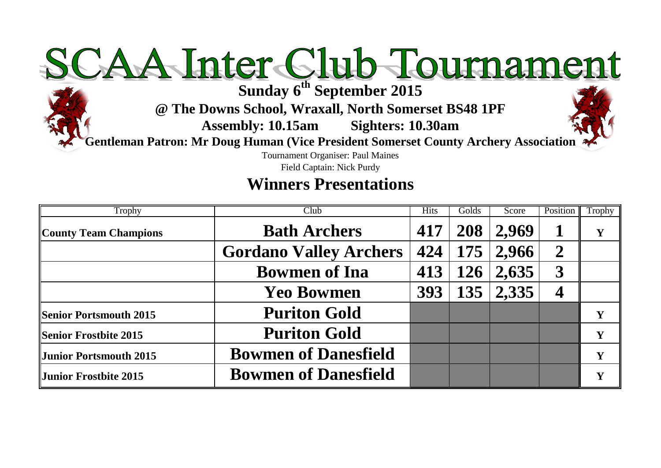# SCAA Inter Club Tournament

**@ The Downs School, Wraxall, North Somerset BS48 1PF**

**Assembly: 10.15am Sighters: 10.30am**

**Gentleman Patron: Mr Doug Human (Vice President Somerset County Archery Association**

Tournament Organiser: Paul Maines

Field Captain: Nick Purdy

# **Winners Presentations**

| Trophy                        | Club                          | <b>Hits</b> | Golds | Score               | Position         | Trophy |
|-------------------------------|-------------------------------|-------------|-------|---------------------|------------------|--------|
| <b>County Team Champions</b>  | <b>Bath Archers</b>           | 417         | 208   | 2,969               |                  |        |
|                               | <b>Gordano Valley Archers</b> |             |       | $424$   175   2,966 | $\boldsymbol{2}$ |        |
|                               | <b>Bowmen of Ina</b>          | 413         | 126   | 2,635               | $\boldsymbol{3}$ |        |
|                               | <b>Yeo Bowmen</b>             |             |       | 393   135   2,335   |                  |        |
| <b>Senior Portsmouth 2015</b> | <b>Puriton Gold</b>           |             |       |                     |                  | Y      |
| Senior Frostbite 2015         | <b>Puriton Gold</b>           |             |       |                     |                  | Y      |
| Junior Portsmouth 2015        | <b>Bowmen of Danesfield</b>   |             |       |                     |                  | Y      |
| <b>Junior Frostbite 2015</b>  | <b>Bowmen of Danesfield</b>   |             |       |                     |                  |        |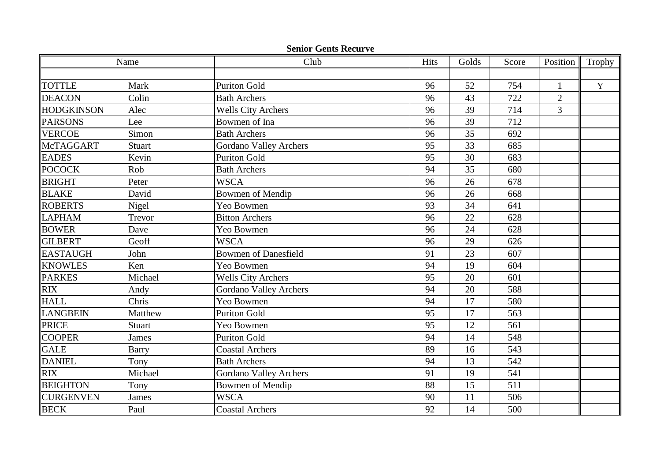|                  | Name          | Club                          | Hits | Golds | Score | Position       | Trophy      |
|------------------|---------------|-------------------------------|------|-------|-------|----------------|-------------|
|                  |               |                               |      |       |       |                |             |
| TOTTLE           | Mark          | <b>Puriton Gold</b>           | 96   | 52    | 754   | 1              | $\mathbf Y$ |
| <b>DEACON</b>    | Colin         | <b>Bath Archers</b>           | 96   | 43    | 722   | $\overline{2}$ |             |
| HODGKINSON       | Alec          | <b>Wells City Archers</b>     | 96   | 39    | 714   | $\overline{3}$ |             |
| PARSONS          | Lee           | Bowmen of Ina                 | 96   | 39    | 712   |                |             |
| <b>VERCOE</b>    | Simon         | <b>Bath Archers</b>           | 96   | 35    | 692   |                |             |
| McTAGGART        | <b>Stuart</b> | <b>Gordano Valley Archers</b> | 95   | 33    | 685   |                |             |
| <b>EADES</b>     | Kevin         | <b>Puriton Gold</b>           | 95   | 30    | 683   |                |             |
| POCOCK           | Rob           | <b>Bath Archers</b>           | 94   | 35    | 680   |                |             |
| <b>BRIGHT</b>    | Peter         | <b>WSCA</b>                   | 96   | 26    | 678   |                |             |
| <b>BLAKE</b>     | David         | <b>Bowmen of Mendip</b>       | 96   | 26    | 668   |                |             |
| ROBERTS          | Nigel         | Yeo Bowmen                    | 93   | 34    | 641   |                |             |
| <b>LAPHAM</b>    | Trevor        | <b>Bitton Archers</b>         | 96   | 22    | 628   |                |             |
| <b>BOWER</b>     | Dave          | Yeo Bowmen                    | 96   | 24    | 628   |                |             |
| <b>GILBERT</b>   | Geoff         | <b>WSCA</b>                   | 96   | 29    | 626   |                |             |
| <b>EASTAUGH</b>  | John          | <b>Bowmen of Danesfield</b>   | 91   | 23    | 607   |                |             |
| <b>KNOWLES</b>   | Ken           | Yeo Bowmen                    | 94   | 19    | 604   |                |             |
| <b>PARKES</b>    | Michael       | <b>Wells City Archers</b>     | 95   | 20    | 601   |                |             |
| <b>RIX</b>       | Andy          | <b>Gordano Valley Archers</b> | 94   | 20    | 588   |                |             |
| <b>HALL</b>      | Chris         | Yeo Bowmen                    | 94   | 17    | 580   |                |             |
| LANGBEIN         | Matthew       | <b>Puriton Gold</b>           | 95   | 17    | 563   |                |             |
| <b>PRICE</b>     | Stuart        | Yeo Bowmen                    | 95   | 12    | 561   |                |             |
| <b>COOPER</b>    | <b>James</b>  | <b>Puriton Gold</b>           | 94   | 14    | 548   |                |             |
| <b>GALE</b>      | <b>Barry</b>  | <b>Coastal Archers</b>        | 89   | 16    | 543   |                |             |
| <b>DANIEL</b>    | Tony          | <b>Bath Archers</b>           | 94   | 13    | 542   |                |             |
| <b>RIX</b>       | Michael       | <b>Gordano Valley Archers</b> | 91   | 19    | 541   |                |             |
| <b>BEIGHTON</b>  | Tony          | <b>Bowmen of Mendip</b>       | 88   | 15    | 511   |                |             |
| <b>CURGENVEN</b> | James         | <b>WSCA</b>                   | 90   | 11    | 506   |                |             |
| <b>BECK</b>      | Paul          | <b>Coastal Archers</b>        | 92   | 14    | 500   |                |             |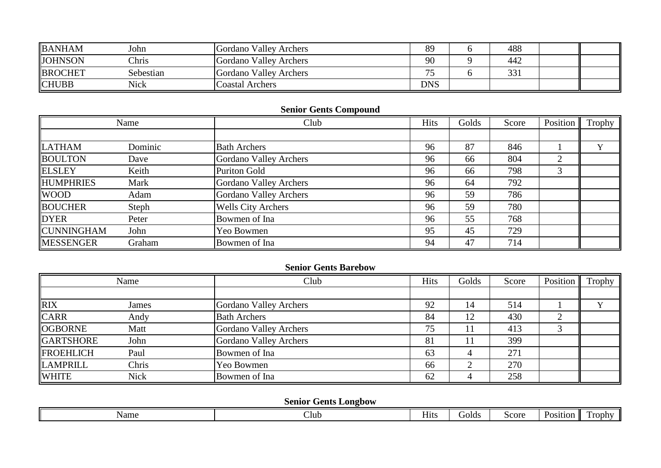| <b>BANHAM</b>  | John         | Gordano Valley Archers | 89         | 488 |  |
|----------------|--------------|------------------------|------------|-----|--|
| <b>JOHNSON</b> | <b>Chris</b> | Gordano Valley Archers | 90         | 442 |  |
| <b>BROCHET</b> | Sebestian    | Gordano Valley Archers | --         | 331 |  |
| <b>CHUBB</b>   | Nick         | <b>Coastal Archers</b> | <b>DNS</b> |     |  |

# **Senior Gents Compound**

|                   | Name    | Club                          | Hits | Golds | Score | Position | Trophy |
|-------------------|---------|-------------------------------|------|-------|-------|----------|--------|
|                   |         |                               |      |       |       |          |        |
| <b>LATHAM</b>     | Dominic | <b>Bath Archers</b>           | 96   | 87    | 846   |          |        |
| <b>BOULTON</b>    | Dave    | <b>Gordano Valley Archers</b> | 96   | 66    | 804   | ⌒        |        |
| <b>ELSLEY</b>     | Keith   | <b>Puriton Gold</b>           | 96   | 66    | 798   | 3        |        |
| <b>HUMPHRIES</b>  | Mark    | Gordano Valley Archers        | 96   | 64    | 792   |          |        |
| <b>WOOD</b>       | Adam    | Gordano Valley Archers        | 96   | 59    | 786   |          |        |
| <b>BOUCHER</b>    | Steph   | <b>Wells City Archers</b>     | 96   | 59    | 780   |          |        |
| <b>DYER</b>       | Peter   | Bowmen of Ina                 | 96   | 55    | 768   |          |        |
| <b>CUNNINGHAM</b> | John    | Yeo Bowmen                    | 95   | 45    | 729   |          |        |
| <b>MESSENGER</b>  | Graham  | Bowmen of Ina                 | 94   | 47    | 714   |          |        |

## **Senior Gents Barebow**

|                  | Name        | Club                   | <b>Hits</b> | Golds | Score | Position | Trophy |
|------------------|-------------|------------------------|-------------|-------|-------|----------|--------|
|                  |             |                        |             |       |       |          |        |
| <b>RIX</b>       | James       | Gordano Valley Archers | 92          | 14    | 514   |          |        |
| <b>CARR</b>      | Andy        | <b>Bath Archers</b>    | 84          | 12    | 430   |          |        |
| <b>OGBORNE</b>   | Matt        | Gordano Valley Archers | 75          | 11    | 413   |          |        |
| <b>GARTSHORE</b> | John        | Gordano Valley Archers | 81          |       | 399   |          |        |
| <b>FROEHLICH</b> | Paul        | Bowmen of Ina          | 63          |       | 271   |          |        |
| <b>LAMPRILL</b>  | Chris       | Yeo Bowmen             | 66          |       | 270   |          |        |
| <b>WHITE</b>     | <b>Nick</b> | Bowmen of Ina          | 62          |       | 258   |          |        |

# **Senior Gents Longbow**

| - -<br>Club<br>Name | 11ts. | Gold: | S <sub>corr</sub> | Position | <b>rophy</b> |
|---------------------|-------|-------|-------------------|----------|--------------|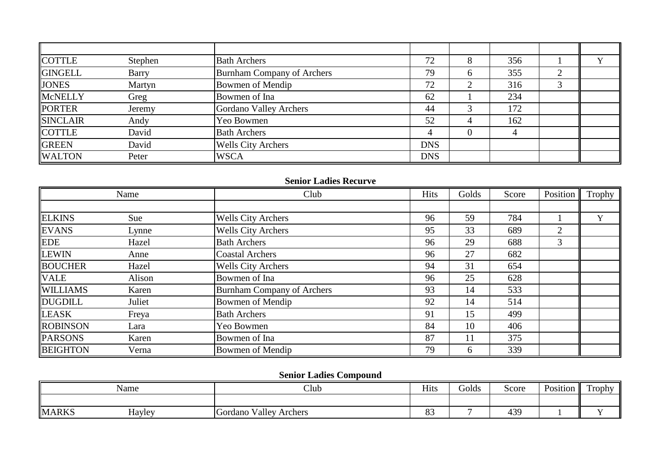| <b>COTTLE</b>   | Stephen      | <b>Bath Archers</b>               | 72         |              | 356 |           |  |
|-----------------|--------------|-----------------------------------|------------|--------------|-----|-----------|--|
| <b>GINGELL</b>  | <b>Barry</b> | <b>Burnham Company of Archers</b> | 79         | <sub>0</sub> | 355 | $\bigcap$ |  |
| <b>JONES</b>    | Martyn       | Bowmen of Mendip                  | 72         | ∠            | 316 |           |  |
| McNELLY         | Greg         | Bowmen of Ina                     | 62         |              | 234 |           |  |
| <b>PORTER</b>   | Jeremy       | Gordano Valley Archers            | 44         |              | 172 |           |  |
| <b>SINCLAIR</b> | Andy         | Yeo Bowmen                        | 52         |              | 162 |           |  |
| <b>COTTLE</b>   | David        | <b>Bath Archers</b>               |            |              |     |           |  |
| <b>GREEN</b>    | David        | <b>Wells City Archers</b>         | <b>DNS</b> |              |     |           |  |
| <b>WALTON</b>   | Peter        | <b>WSCA</b>                       | <b>DNS</b> |              |     |           |  |

#### **Senior Ladies Recurve**

|                 | Name   | Club                              | Hits | Golds | Score | Position       | Trophy |
|-----------------|--------|-----------------------------------|------|-------|-------|----------------|--------|
|                 |        |                                   |      |       |       |                |        |
| <b>ELKINS</b>   | Sue    | <b>Wells City Archers</b>         | 96   | 59    | 784   |                | v      |
| <b>EVANS</b>    | Lynne  | <b>Wells City Archers</b>         | 95   | 33    | 689   | $\overline{2}$ |        |
| <b>EDE</b>      | Hazel  | <b>Bath Archers</b>               | 96   | 29    | 688   | 3              |        |
| <b>LEWIN</b>    | Anne   | <b>Coastal Archers</b>            | 96   | 27    | 682   |                |        |
| <b>BOUCHER</b>  | Hazel  | <b>Wells City Archers</b>         | 94   | 31    | 654   |                |        |
| <b>VALE</b>     | Alison | Bowmen of Ina                     | 96   | 25    | 628   |                |        |
| <b>WILLIAMS</b> | Karen  | <b>Burnham Company of Archers</b> | 93   | 14    | 533   |                |        |
| DUGDILL         | Juliet | Bowmen of Mendip                  | 92   | 14    | 514   |                |        |
| <b>LEASK</b>    | Freya  | <b>Bath Archers</b>               | 91   | 15    | 499   |                |        |
| <b>ROBINSON</b> | Lara   | Yeo Bowmen                        | 84   | 10    | 406   |                |        |
| <b>PARSONS</b>  | Karen  | Bowmen of Ina                     | 87   | 11    | 375   |                |        |
| <b>BEIGHTON</b> | Verna  | Bowmen of Mendip                  | 79   | 6     | 339   |                |        |

## **Senior Ladies Compound**

|              | <b>AT</b><br>Name | Club                                       | Hits          | Golds | Score | $\mathbf{r}$<br>Position | $\overline{ }$<br>Trophy |
|--------------|-------------------|--------------------------------------------|---------------|-------|-------|--------------------------|--------------------------|
|              |                   |                                            |               |       |       |                          |                          |
| <b>MARKS</b> | Hayley            | <b>Valley</b><br><b>Cordano</b><br>Archers | $\sim$<br>U ~ |       | 439   |                          |                          |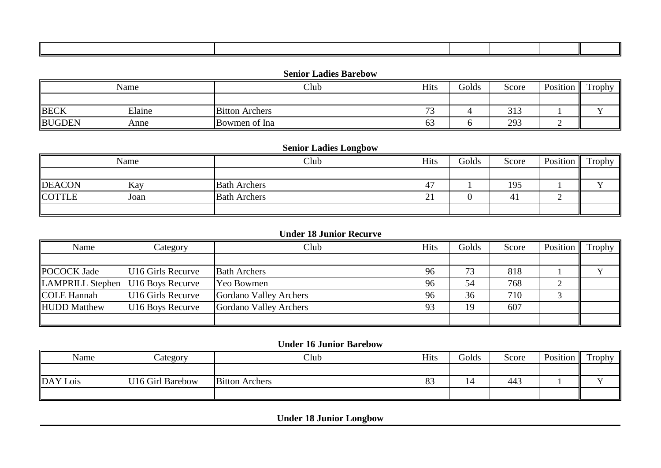#### **Senior Ladies Barebow**

|               | Name   | Club                  | Hits                          | Golds | Score | Position<br>- 11 | Trophy |
|---------------|--------|-----------------------|-------------------------------|-------|-------|------------------|--------|
|               |        |                       |                               |       |       |                  |        |
| <b>BECK</b>   | Elaine | <b>Bitton Archers</b> | $\overline{\phantom{a}}$<br>ັ |       | 313   |                  |        |
| <b>BUGDEN</b> | Anne   | Bowmen of Ina         | - ^<br>63                     |       | 293   |                  |        |

## **Senior Ladies Longbow**

|               | Name | Club                | Hits              | Golds | Score | Position | Trophy |
|---------------|------|---------------------|-------------------|-------|-------|----------|--------|
|               |      |                     |                   |       |       |          |        |
| <b>DEACON</b> | Kay  | <b>Bath Archers</b> | 47                |       | 195   |          |        |
| <b>COTTLE</b> | Joan | <b>Bath Archers</b> | $\bigcap$ 1<br>∠⊥ |       | 4     |          |        |
|               |      |                     |                   |       |       |          |        |

### **Under 18 Junior Recurve**

| Name                              | Category                      | Club                   | <b>Hits</b> | Golds | Score | Position | Trophy 1. |
|-----------------------------------|-------------------------------|------------------------|-------------|-------|-------|----------|-----------|
|                                   |                               |                        |             |       |       |          |           |
| <b>POCOCK Jade</b>                | U <sub>16</sub> Girls Recurve | <b>Bath Archers</b>    | 96          | 73    | 818   |          |           |
| LAMPRILL Stephen U16 Boys Recurve |                               | Yeo Bowmen             | 96          | 54    | 768   |          |           |
| <b>COLE Hannah</b>                | U <sub>16</sub> Girls Recurve | Gordano Valley Archers | 96          | 36    | 710   |          |           |
| <b>HUDD</b> Matthew               | U16 Boys Recurve              | Gordano Valley Archers | 93          | 19    | 607   |          |           |
|                                   |                               |                        |             |       |       |          |           |

#### **Under 16 Junior Barebow**

| Name     | Category         | Club                  | <b>Hits</b>     | Golds | Score | Position | Trophy |
|----------|------------------|-----------------------|-----------------|-------|-------|----------|--------|
|          |                  |                       |                 |       |       |          |        |
| DAY Lois | U16 Girl Barebow | <b>Bitton Archers</b> | $\Omega$<br>OJ. | - 4   | 443   |          |        |
|          |                  |                       |                 |       |       |          |        |

**Under 18 Junior Longbow**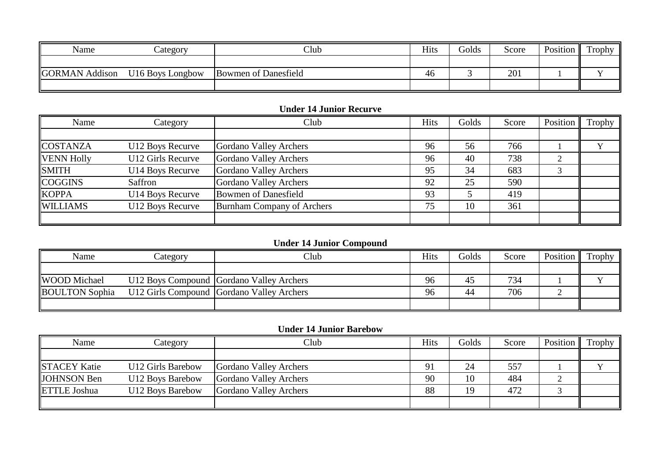| Name                  | Lategory         | Club                 | <b>Hits</b> | Golds | Score | Position | Trophy |
|-----------------------|------------------|----------------------|-------------|-------|-------|----------|--------|
|                       |                  |                      |             |       |       |          |        |
| <b>GORMAN</b> Addison | U16 Boys Longbow | Bowmen of Danesfield | 46          |       | 201   |          |        |
|                       |                  |                      |             |       |       |          |        |

## **Under 14 Junior Recurve**

| Name              | Category          | Club                        | <b>Hits</b> | Golds | Score | Position | Trophy |
|-------------------|-------------------|-----------------------------|-------------|-------|-------|----------|--------|
|                   |                   |                             |             |       |       |          |        |
| <b>COSTANZA</b>   | U12 Boys Recurve  | Gordano Valley Archers      | 96          | 56    | 766   |          |        |
| <b>VENN Holly</b> | U12 Girls Recurve | Gordano Valley Archers      | 96          | 40    | 738   |          |        |
| <b>SMITH</b>      | U14 Boys Recurve  | Gordano Valley Archers      | 95          | 34    | 683   |          |        |
| <b>COGGINS</b>    | Saffron           | Gordano Valley Archers      | 92          | 25    | 590   |          |        |
| <b>KOPPA</b>      | U14 Boys Recurve  | <b>Bowmen of Danesfield</b> | 93          |       | 419   |          |        |
| <b>WILLIAMS</b>   | U12 Boys Recurve  | Burnham Company of Archers  | 75          | 10    | 361   |          |        |
|                   |                   |                             |             |       |       |          |        |

# **Under 14 Junior Compound**

| Name                  | ategory | Club                                      | Hits | <b>Golds</b> | Score | Position | Trophy |
|-----------------------|---------|-------------------------------------------|------|--------------|-------|----------|--------|
|                       |         |                                           |      |              |       |          |        |
| <b>WOOD</b> Michael   |         | U12 Boys Compound Gordano Valley Archers  | 96   | 40           | 734   |          |        |
| <b>BOULTON</b> Sophia |         | U12 Girls Compound Gordano Valley Archers | 96   | 44           | 706   |          |        |
|                       |         |                                           |      |              |       |          |        |

#### **Under 14 Junior Barebow**

| Name                | Category          | Club                   | <b>Hits</b> | Golds | Score | Position | Trophy |
|---------------------|-------------------|------------------------|-------------|-------|-------|----------|--------|
|                     |                   |                        |             |       |       |          |        |
| <b>STACEY Katie</b> | U12 Girls Barebow | Gordano Valley Archers | 91          | 24    | 557   |          |        |
| <b>JOHNSON</b> Ben  | U12 Boys Barebow  | Gordano Valley Archers | 90          | 10    | 484   |          |        |
| <b>ETTLE Joshua</b> | U12 Boys Barebow  | Gordano Valley Archers | 88          | 19    | 472   |          |        |
|                     |                   |                        |             |       |       |          |        |